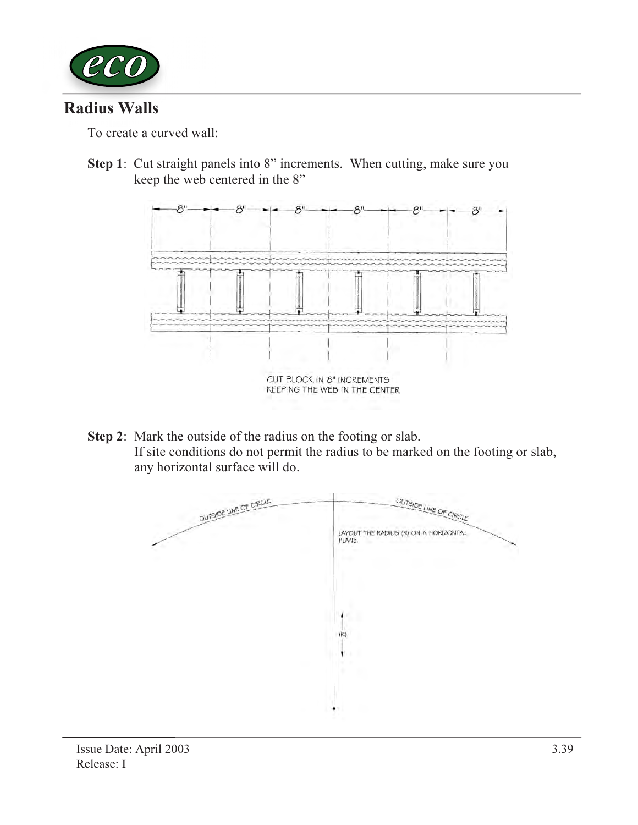

## Radius Walls

To create a curved wall:

Step 1: Cut straight panels into 8" increments. When cutting, make sure you keep the web centered in the 8"



Step 2: Mark the outside of the radius on the footing or slab. If site conditions do not permit the radius to be marked on the footing or slab, any horizontal surface will do.

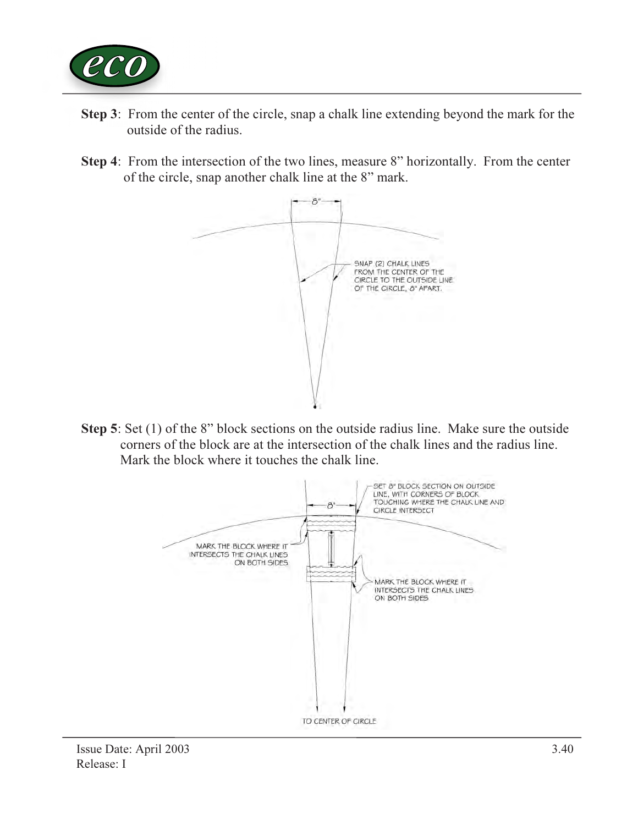

- Step 3: From the center of the circle, snap a chalk line extending beyond the mark for the outside of the radius.
- Step 4: From the intersection of the two lines, measure 8" horizontally. From the center of the circle, snap another chalk line at the 8" mark.



Step 5: Set (1) of the 8" block sections on the outside radius line. Make sure the outside corners of the block are at the intersection of the chalk lines and the radius line. Mark the block where it touches the chalk line.